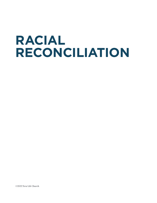# **RACIAL RECONCILIATION**

©2022 New Life Church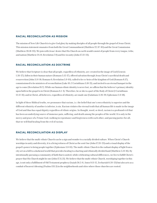# **RACIAL RECONCILIATION AS MISSION**

The mission of New Life Church is to give God glory by making disciples of all people through the gospel of Jesus Christ. This mission statement emanates from both the Great Commandment (Matthew 22.37-40) and the Great Commission (Matthew 28.18-20). We join with Jesus' desire that His Church on earth would consist of people from every tongue, tribe, and nation (Matthew 24.14; Revelation 7.9) and live in unity (John 17.22-23).

# **RACIAL RECONCILIATION AS DOCTRINE**

We believe that Scripture is clear that all people, regardless of ethnicity, are: created in the image of God (Genesis 1.26-27), fallen in their human nature (Romans 5.12-17), offered salvation through Jesus Christ's sacrificial death and resurrection (John 3.14-18; Romans 6; Revelation 5.9-10), called to be co-heirs of the kingdom of God (Romans 8.17), commissioned to be ministers of reconciliation (Luke 10; 2 Corinthians 5.18-21), and invited to an eternal banquet in the age to come (Revelation 19.7). While our human ethnic identity is never lost, we affirm that the believer's primary identity upon faith in the gospel is in Christ (Romans 6.1-4). Therefore, he or she is a part of the Body of Christ (1 Corinthians 12.12-31); and in Christ, all believers, regardless of ethnicity, are made one (Galatians 3.26-29; Ephesians 2.11-18).

In light of these Biblical truths, we pronounce that racism, i.e. the belief that one's own ethnicity is superior and the different ethnicity of another is inferior, is sin. Racism violates the eternal truth that all human life is made in the image of God and thus has equal dignity regardless of ethnic origins. In thought, word, or deed, racism is a profound evil that has been an underlying source of immense pain, suffering, and death among the peoples of the world. It is only in the mercy and grace of a Triune God, walking in repentance and forgiveness with each other, and pursing justice for all, that we will find healing from the evil of racism.

## **RACIAL RECONCILIATION AS DISPLAY**

We believe that the multi-ethnic Church can be a sign and wonder to a racially divided culture. When Christ's Church worships in unity and diversity, it is a living witness of Christ as the sent One (John 17.20-23) and a visual display of the gospel's power to bring people together (Ephesians 3.8-10). The multi-ethnic Church is the radiant display of light from a city set on a hill to a darkened world that provides healing to a hurting and ethnically divided land (Matthew 5.13-16). By intentionally pursuing a community of faith that is united, while celebrating cultural differences, we live to fulfill Christ's prayer that His Church might be one (John 17.11,21). We believe that the multi-ethnic Church, worshiping together in this age, is not only a fulfillment of Old Testament prophecy (Isaiah 56.5-8, Amos 9.11-12, Zechariah 8.20-23) but also acts as a conduit of heaven's blessing (Psalms 133.3) in the neighborhoods and cities where those churches are rooted.